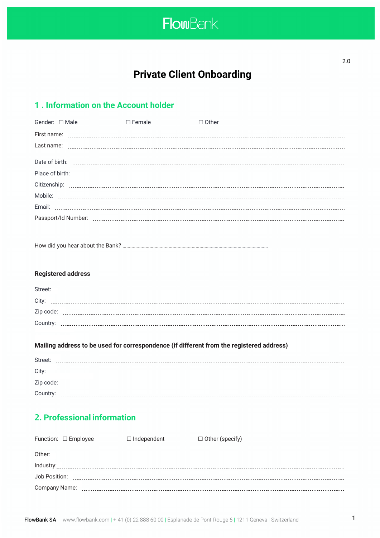

**Private Client Onboarding**

# **1 . Information on the Account holder**

| Gender: □ Male | $\Box$ Female | $\Box$ Other |
|----------------|---------------|--------------|
|                |               |              |
|                |               |              |
|                |               |              |
|                |               |              |
|                |               |              |
|                |               |              |
|                |               |              |
|                |               |              |

How did you hear about the Bank? ……………………………………………………………………………………………………

# **Registered address**

| Street:   |  |  |
|-----------|--|--|
| City      |  |  |
| Zip code: |  |  |
| Country:  |  |  |

# **Mailing address to be used for correspondence (if different from the registered address)**

| Street:   |  |
|-----------|--|
| City      |  |
| Zip code: |  |
| Country:  |  |

# 2. **Professional information**

| Function: □ Employee | $\Box$ Independent | $\Box$ Other (specify) |
|----------------------|--------------------|------------------------|
|                      |                    |                        |
|                      |                    |                        |
|                      |                    |                        |
|                      |                    |                        |
|                      |                    |                        |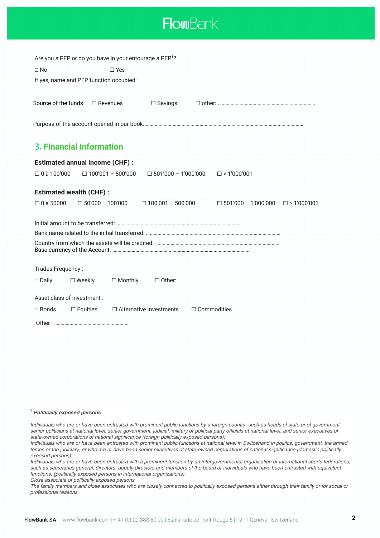

| Are you a PEP or do you have in your entourage a PEP <sup>1</sup> ?                                                      |
|--------------------------------------------------------------------------------------------------------------------------|
| $\Box$ No<br>$\Box$ Yes                                                                                                  |
|                                                                                                                          |
|                                                                                                                          |
| Source of the funds<br>$\Box$ Revenues<br>$\Box$ Savings                                                                 |
|                                                                                                                          |
|                                                                                                                          |
|                                                                                                                          |
| <b>3. Financial Information</b>                                                                                          |
| <b>Estimated annual income (CHF):</b>                                                                                    |
| $\Box$ 0 à 100'000<br>$\Box$ 100'001 - 500'000<br>$\Box$ 501'000 - 1'000'000<br>$\square$ > 1'000'001                    |
|                                                                                                                          |
| <b>Estimated wealth (CHF):</b>                                                                                           |
| $\Box$ 0 à 50000<br>$\Box$ 50'000 - 100'000<br>$\Box$ 501'000 - 1'000'000 $\Box$ > 1'000'001<br>$\Box$ 100'001 - 500'000 |
|                                                                                                                          |
|                                                                                                                          |
|                                                                                                                          |
|                                                                                                                          |
|                                                                                                                          |
| Trades Frequency:                                                                                                        |
| $\Box$ Monthly<br>$\Box$ Other:<br>$\Box$ Daily<br>$\square$ Weekly                                                      |
|                                                                                                                          |
| Asset class of investment :                                                                                              |
| $\Box$ Alternative Investments<br>$\Box$ Commodities<br>$\Box$ Bonds<br>$\Box$ Equities                                  |
|                                                                                                                          |

### <sup>1</sup> *Politically exposed persons*

*Close associate of politically exposed persons*

*Individuals who are or have been entrusted with prominent public functions by a foreign country, such as heads of state or of government, senior politicians at national level, senior government, judicial, military or political party officials at national level, and senior executives of state-owned corporations of national significance (foreign politically exposed persons);*

*Individuals who are or have been entrusted with prominent public functions at national level in Switzerland in politics, government, the armed forces or the judiciary, or who are or have been senior executives of state-owned corporations of national significance (domestic politically exposed persons);*

*Individuals who are or have been entrusted with a prominent function by an intergovernmental organization or international sports federations, such as secretaries general, directors, deputy directors and members of the board or individuals who have been entrusted with equivalent functions, (politically exposed persons in international organizations).*

*The family members and close associates who are closely connected to politically exposed persons either through their family or for social or professional reasons.*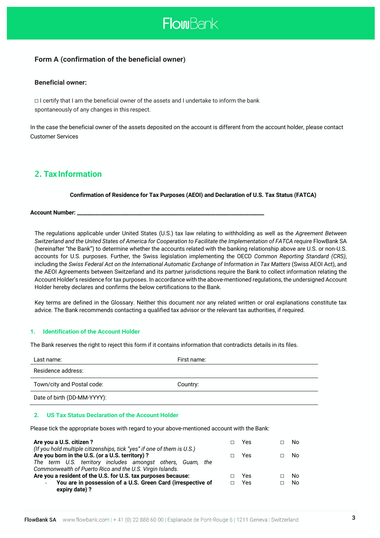

# **Form A (confirmation of the beneficial owner)**

# **Beneficial owner:**

☐ I certify that I am the beneficial owner of the assets and I undertake to inform the bank spontaneously of any changes in this respect.

In the case the beneficial owner of the assets deposited on the account is different from the account holder, please contact Customer Services

# 2. **Tax Information**

# **Confirmation of Residence for Tax Purposes (AEOI) and Declaration of U.S. Tax Status (FATCA)**

**Account Number: \_\_\_\_\_\_\_\_\_\_\_\_\_\_\_\_\_\_\_\_\_\_\_\_\_\_\_\_\_\_\_\_\_\_\_\_\_\_\_\_\_\_\_\_\_\_\_\_\_\_\_\_\_\_\_\_\_\_\_\_\_\_\_\_\_\_\_\_\_\_\_\_\_**

The regulations applicable under United States (U.S.) tax law relating to withholding as well as the *Agreement Between Switzerland and the United States of America for Cooperation to Facilitate the Implementation of FATCA* require FlowBank SA (hereinafter "the Bank") to determine whether the accounts related with the banking relationship above are U.S. or non-U.S. accounts for U.S. purposes. Further, the Swiss legislation implementing the OECD *Common Reporting Standard (CRS)*, including the *Swiss Federal Act on the International Automatic Exchange of Information in Tax Matters* (Swiss AEOI Act), and the AEOI Agreements between Switzerland and its partner jurisdictions require the Bank to collect information relating the Account Holder's residence for tax purposes. In accordance with the above-mentioned regulations, the undersigned Account Holder hereby declares and confirms the below certifications to the Bank.

Key terms are defined in the Glossary. Neither this document nor any related written or oral explanations constitute tax advice. The Bank recommends contacting a qualified tax advisor or the relevant tax authorities, if required.

# **1. Identification of the Account Holder**

The Bank reserves the right to reject this form if it contains information that contradicts details in its files.

| Last name:                  | First name: |
|-----------------------------|-------------|
| Residence address:          |             |
| Town/city and Postal code:  | Country:    |
| Date of birth (DD-MM-YYYY): |             |

# **2. US Tax Status Declaration of the Account Holder**

Please tick the appropriate boxes with regard to your above-mentioned account with the Bank:

| Are you a U.S. citizen?                                                                                                    |  | Yes | No. |
|----------------------------------------------------------------------------------------------------------------------------|--|-----|-----|
| (If you hold multiple citizenships, tick "yes" if one of them is U.S.)<br>Are you born in the U.S. (or a U.S. territory) ? |  | Yes | N٥  |
| The term U.S. territory includes amongst others, Guam, the<br>Commonwealth of Puerto Rico and the U.S. Virgin Islands.     |  |     |     |
| Are you a resident of the U.S. for U.S. tax purposes because:                                                              |  | Yes | No. |
| You are in possession of a U.S. Green Card (irrespective of<br>$\sim$<br>expiry date)?                                     |  | Yes | No. |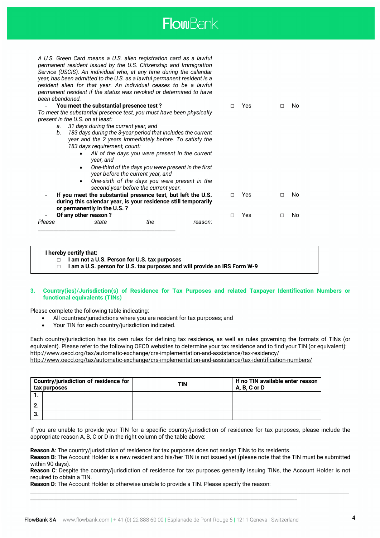

*A U.S. Green Card means a U.S. alien registration card as a lawful permanent resident issued by the U.S. Citizenship and Immigration Service (USCIS). An individual who, at any time during the calendar year, has been admitted to the U.S. as a lawful permanent resident is a resident alien for that year. An individual ceases to be a lawful permanent resident if the status was revoked or determined to have been abandoned.*

|        | You meet the substantial presence test?                              |                                                                                          |         |   | Yes |  | No  |
|--------|----------------------------------------------------------------------|------------------------------------------------------------------------------------------|---------|---|-----|--|-----|
|        | To meet the substantial presence test, you must have been physically |                                                                                          |         |   |     |  |     |
|        | present in the U.S. on at least:                                     |                                                                                          |         |   |     |  |     |
|        | 31 days during the current year, and<br>а.                           |                                                                                          |         |   |     |  |     |
|        | 183 days during the 3-year period that includes the current<br>b.    |                                                                                          |         |   |     |  |     |
|        | year and the 2 years immediately before. To satisfy the              |                                                                                          |         |   |     |  |     |
|        | 183 days requirement, count:                                         |                                                                                          |         |   |     |  |     |
|        | year, and                                                            | All of the days you were present in the current                                          |         |   |     |  |     |
|        | ٠                                                                    | One-third of the days you were present in the first<br>year before the current year, and |         |   |     |  |     |
|        | $\bullet$                                                            | One-sixth of the days you were present in the                                            |         |   |     |  |     |
|        |                                                                      | second year before the current year.                                                     |         |   |     |  |     |
|        | If you meet the substantial presence test, but left the U.S.         |                                                                                          |         |   | Yes |  | No. |
|        | during this calendar year, is your residence still temporarily       |                                                                                          |         |   |     |  |     |
|        | or permanently in the U.S.?                                          |                                                                                          |         |   |     |  |     |
|        | Of any other reason?                                                 |                                                                                          |         | П | Yes |  | No  |
| Please | state                                                                | the                                                                                      | reason: |   |     |  |     |
|        |                                                                      |                                                                                          |         |   |     |  |     |

#### **I hereby certify that:**

☐ **I am a U.S. person for U.S. tax purposes and will provide an IRS Form W-9**

#### **3. Country(ies)/Jurisdiction(s) of Residence for Tax Purposes and related Taxpayer Identification Numbers or functional equivalents (TINs)**

Please complete the following table indicating:

- All countries/jurisdictions where you are resident for tax purposes; and
- Your TIN for each country/jurisdiction indicated.

Each country/jurisdiction has its own rules for defining tax residence, as well as rules governing the formats of TINs (or equivalent). Please refer to the following OECD websites to determine your tax residence and to find your TIN (or equivalent): http://www.oecd.org/tax/automatic-exchange/crs-implementation-and-assistance/tax-residency/ http://www.oecd.org/tax/automatic-exchange/crs-implementation-and-assistance/tax-identification-numbers/

|    | Country/jurisdiction of residence for<br>tax purposes | TIN | If no TIN available enter reason<br>A, B, C or D |
|----|-------------------------------------------------------|-----|--------------------------------------------------|
|    |                                                       |     |                                                  |
| L. |                                                       |     |                                                  |
| З. |                                                       |     |                                                  |

If you are unable to provide your TIN for a specific country/jurisdiction of residence for tax purposes, please include the appropriate reason A, B, C or D in the right column of the table above:

**Reason A**: The country/jurisdiction of residence for tax purposes does not assign TINs to its residents.

**Reason B**: The Account Holder is a new resident and his/her TIN is not issued yet (please note that the TIN must be submitted within 90 days).

**Reason C**: Despite the country/jurisdiction of residence for tax purposes generally issuing TINs, the Account Holder is not required to obtain a TIN.

\_\_\_\_\_\_\_\_\_\_\_\_\_\_\_\_\_\_\_\_\_\_\_\_\_\_\_\_\_\_\_\_\_\_\_\_\_\_\_\_\_\_\_\_\_\_\_\_\_\_\_\_\_\_\_\_\_\_\_\_\_\_\_\_\_\_\_\_\_\_\_\_\_\_\_\_\_\_\_\_\_\_\_\_\_\_\_\_\_\_\_\_\_\_\_\_\_\_\_\_\_\_\_\_\_\_\_\_\_\_\_\_\_\_\_\_\_\_\_\_\_\_\_

**Reason D**: The Account Holder is otherwise unable to provide a TIN. Please specify the reason:

\_\_\_\_\_\_\_\_\_\_\_\_\_\_\_\_\_\_\_\_\_\_\_\_\_\_\_\_\_\_\_\_\_\_\_\_\_\_\_\_\_\_\_\_\_\_\_\_\_\_\_\_\_\_\_\_\_\_\_\_\_\_\_\_\_\_\_\_\_\_\_\_\_\_\_\_\_\_\_\_\_\_\_\_\_\_\_\_\_\_\_\_\_\_\_\_\_\_\_\_\_\_\_

<sup>☐</sup> **I am not a U.S. Person for U.S. tax purposes**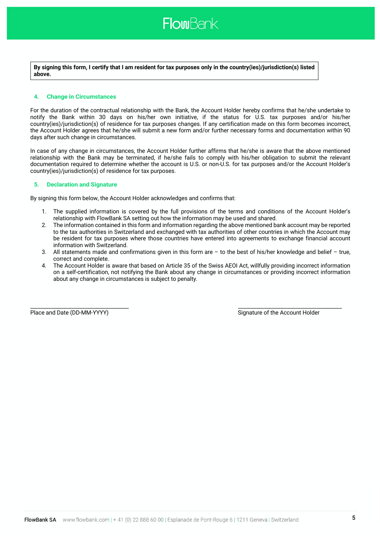

**By signing this form, I certify that I am resident for tax purposes only in the country(ies)/jurisdiction(s) listed above.**

#### **4. Change in Circumstances**

For the duration of the contractual relationship with the Bank, the Account Holder hereby confirms that he/she undertake to notify the Bank within 30 days on his/her own initiative, if the status for U.S. tax purposes and/or his/her country(ies)/jurisdiction(s) of residence for tax purposes changes. If any certification made on this form becomes incorrect, the Account Holder agrees that he/she will submit a new form and/or further necessary forms and documentation within 90 days after such change in circumstances.

In case of any change in circumstances, the Account Holder further affirms that he/she is aware that the above mentioned relationship with the Bank may be terminated, if he/she fails to comply with his/her obligation to submit the relevant documentation required to determine whether the account is U.S. or non-U.S. for tax purposes and/or the Account Holder's country(ies)/jurisdiction(s) of residence for tax purposes.

#### **5. Declaration and Signature**

By signing this form below, the Account Holder acknowledges and confirms that:

- 1. The supplied information is covered by the full provisions of the terms and conditions of the Account Holder's relationship with FlowBank SA setting out how the information may be used and shared.
- 2. The information contained in this form and information regarding the above mentioned bank account may be reported to the tax authorities in Switzerland and exchanged with tax authorities of other countries in which the Account may be resident for tax purposes where those countries have entered into agreements to exchange financial account information with Switzerland.
- 3. All statements made and confirmations given in this form are to the best of his/her knowledge and belief true, correct and complete.
- 4. The Account Holder is aware that based on Article 35 of the Swiss AEOI Act, willfully providing incorrect information on a self-certification, not notifying the Bank about any change in circumstances or providing incorrect information about any change in circumstances is subject to penalty.

\_\_\_\_\_\_\_\_\_\_\_\_\_\_\_\_\_\_\_\_\_\_\_\_\_\_\_\_\_\_\_\_\_\_\_\_\_\_ \_\_\_\_\_\_\_\_\_\_\_\_\_\_\_\_\_\_\_\_\_\_\_\_\_\_\_\_\_\_\_\_\_\_\_\_\_\_\_\_

Place and Date (DD-MM-YYYY) Signature of the Account Holder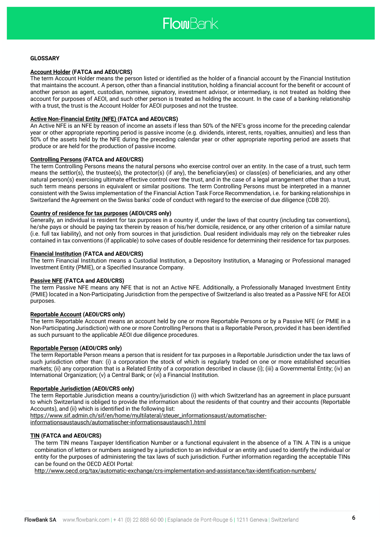

#### **GLOSSARY**

#### **Account Holder (FATCA and AEOI/CRS)**

The term Account Holder means the person listed or identified as the holder of a financial account by the Financial Institution that maintains the account. A person, other than a financial institution, holding a financial account for the benefit or account of another person as agent, custodian, nominee, signatory, investment advisor, or intermediary, is not treated as holding thee account for purposes of AEOI, and such other person is treated as holding the account. In the case of a banking relationship with a trust, the trust is the Account Holder for AEOI purposes and not the trustee.

#### **Active Non-Financial Entity (NFE) (FATCA and AEOI/CRS)**

An Active NFE is an NFE by reason of income an assets if less than 50% of the NFE's gross income for the preceding calendar year or other appropriate reporting period is passive income (e.g. dividends, interest, rents, royalties, annuities) and less than 50% of the assets held by the NFE during the preceding calendar year or other appropriate reporting period are assets that produce or are held for the production of passive income.

#### **Controlling Persons (FATCA and AEOI/CRS)**

The term Controlling Persons means the natural persons who exercise control over an entity. In the case of a trust, such term means the settlor(s), the trustee(s), the protector(s) (if any), the beneficiary(ies) or class(es) of beneficiaries, and any other natural person(s) exercising ultimate effective control over the trust, and in the case of a legal arrangement other than a trust, such term means persons in equivalent or similar positions. The term Controlling Persons must be interpreted in a manner consistent with the Swiss implementation of the Financial Action Task Force Recommendation, i.e. for banking relationships in Switzerland the Agreement on the Swiss banks' code of conduct with regard to the exercise of due diligence (CDB 20).

#### **Country of residence for tax purposes (AEOI/CRS only)**

Generally, an individual is resident for tax purposes in a country if, under the laws of that country (including tax conventions), he/she pays or should be paying tax therein by reason of his/her domicile, residence, or any other criterion of a similar nature (i.e. full tax liability), and not only from sources in that jurisdiction. Dual resident individuals may rely on the tiebreaker rules contained in tax conventions (if applicable) to solve cases of double residence for determining their residence for tax purposes.

#### **Financial Institution (FATCA and AEOI/CRS)**

The term Financial Institution means a Custodial Institution, a Depository Institution, a Managing or Professional managed Investment Entity (PMIE), or a Specified Insurance Company.

#### **Passive NFE (FATCA and AEOI/CRS)**

The term Passive NFE means any NFE that is not an Active NFE. Additionally, a Professionally Managed Investment Entity (PMIE) located in a Non-Participating Jurisdiction from the perspective of Switzerland is also treated as a Passive NFE for AEOI purposes.

#### **Reportable Account (AEOI/CRS only)**

The term Reportable Account means an account held by one or more Reportable Persons or by a Passive NFE (or PMIE in a Non-Participating Jurisdiction) with one or more Controlling Persons that is a Reportable Person, provided it has been identified as such pursuant to the applicable AEOI due diligence procedures.

#### **Reportable Person (AEOI/CRS only)**

The term Reportable Person means a person that is resident for tax purposes in a Reportable Jurisdiction under the tax laws of such jurisdiction other than: (i) a corporation the stock of which is regularly traded on one or more established securities markets; (ii) any corporation that is a Related Entity of a corporation described in clause (i); (iii) a Governmental Entity; (iv) an International Organization; (v) a Central Bank; or (vi) a Financial Institution.

#### **Reportable Jurisdiction (AEOI/CRS only)**

The term Reportable Jurisdiction means a country/jurisdiction (i) with which Switzerland has an agreement in place pursuant to which Switzerland is obliged to provide the information about the residents of that country and their accounts (Reportable Accounts), and (ii) which is identified in the following list:

https://www.sif.admin.ch/sif/en/home/multilateral/steuer\_informationsaust/automatischer-

informationsaustausch/automatischer-informationsaustausch1.html

#### **TIN (FATCA and AEOI/CRS)**

The term TIN means Taxpayer Identification Number or a functional equivalent in the absence of a TIN. A TIN is a unique combination of letters or numbers assigned by a jurisdiction to an individual or an entity and used to identify the individual or entity for the purposes of administering the tax laws of such jurisdiction. Further information regarding the acceptable TINs can be found on the OECD AEOI Portal:

http://www.oecd.org/tax/automatic-exchange/crs-implementation-and-assistance/tax-identification-numbers/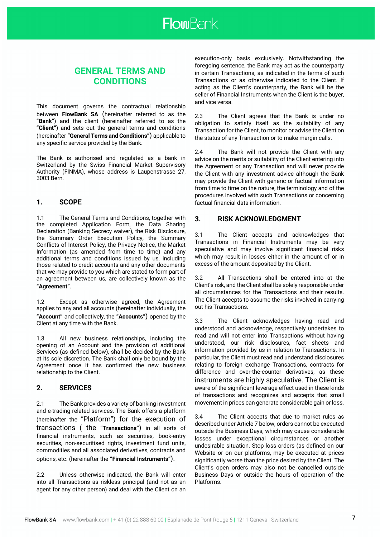

# **GENERAL TERMS AND CONDITIONS**

This document governs the contractual relationship between **FlowBank SA** (hereinafter referred to as the **"Bank"**) and the client (hereinafter referred to as the **"Client"**) and sets out the general terms and conditions (hereinafter **"General Terms and Conditions"**) applicable to any specific service provided by the Bank.

The Bank is authorised and regulated as a bank in Switzerland by the Swiss Financial Market Supervisory Authority (FINMA), whose address is Laupenstrasse 27, 3003 Bern.

# **1. SCOPE**

1.1 The General Terms and Conditions, together with the completed Application Form, the Data Sharing Declaration (Banking Secrecy waiver), the Risk Disclosure, the Summary Order Execution Policy, the Summary Conflicts of Interest Policy, the Privacy Notice, the Market Information (as amended from time to time) and any additional terms and conditions issued by us, including those related to credit accounts and any other documents that we may provide to you which are stated to form part of an agreement between us, are collectively known as the **"Agreement"**.

1.2 Except as otherwise agreed, the Agreement applies to any and all accounts (hereinafter individually, the **"Account"** and collectively, the **"Accounts"**) opened by the Client at any time with the Bank.

1.3 All new business relationships, including the opening of an Account and the provision of additional Services (as defined below), shall be decided by the Bank at its sole discretion. The Bank shall only be bound by the Agreement once it has confirmed the new business relationship to the Client.

# **2. SERVICES**

2.1 The Bank provides a variety of banking investment and e-trading related services. The Bank offers a platform (hereinafter the "Platform") for the execution of transactions ( the **"Transactions"**) in all sorts of financial instruments, such as securities, book-entry securities, non-securitised rights, investment fund units, commodities and all associated derivatives, contracts and options, etc. (hereinafter the **"Financial Instruments"**).

2.2 Unless otherwise indicated, the Bank will enter into all Transactions as riskless principal (and not as an agent for any other person) and deal with the Client on an execution-only basis exclusively. Notwithstanding the foregoing sentence, the Bank may act as the counterparty in certain Transactions, as indicated in the terms of such Transactions or as otherwise indicated to the Client. If acting as the Client's counterparty, the Bank will be the seller of Financial Instruments when the Client is the buyer, and vice versa.

2.3 The Client agrees that the Bank is under no obligation to satisfy itself as the suitability of any Transaction for the Client, to monitor or advise the Client on the status of any Transaction or to make margin calls.

2.4 The Bank will not provide the Client with any advice on the merits or suitability of the Client entering into the Agreement or any Transaction and will never provide the Client with any investment advice although the Bank may provide the Client with generic or factual information from time to time on the nature, the terminology and of the procedures involved with such Transactions or concerning factual financial data information.

# **3. RISK ACKNOWLEDGMENT**

3.1 The Client accepts and acknowledges that Transactions in Financial Instruments may be very speculative and may involve significant financial risks which may result in losses either in the amount of or in excess of the amount deposited by the Client.

3.2 All Transactions shall be entered into at the Client's risk, and the Client shall be solely responsible under all circumstances for the Transactions and their results. The Client accepts to assume the risks involved in carrying out his Transactions.

3.3 The Client acknowledges having read and understood and acknowledge, respectively undertakes to read and will not enter into Transactions without having understood, our risk disclosures, fact sheets and information provided by us in relation to Transactions. In particular, the Client must read and understand disclosures relating to foreign exchange Transactions, contracts for difference and over-the-counter derivatives, as these instruments are highly speculative. The Client is aware of the significant leverage effect used in these kinds of transactions and recognizes and accepts that small movement in prices can generate considerable gain or loss.

3.4 The Client accepts that due to market rules as described under Article 7 below, orders cannot be executed outside the Business Days, which may cause considerable losses under exceptional circumstances or another undesirable situation. Stop loss orders (as defined on our Website or on our platforms, may be executed at prices significantly worse than the price desired by the Client. The Client's open orders may also not be cancelled outside Business Days or outside the hours of operation of the Platforms.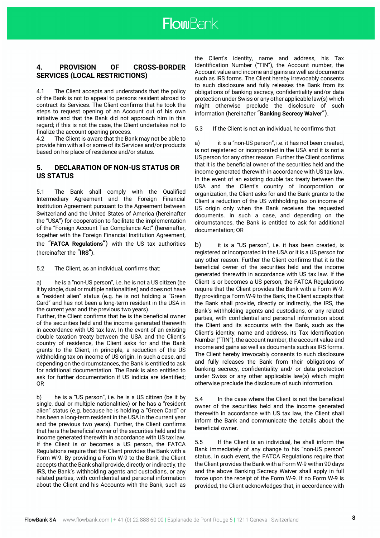

# **4. PROVISION OF CROSS-BORDER SERVICES (LOCAL RESTRICTIONS)**

4.1 The Client accepts and understands that the policy of the Bank is not to appeal to persons resident abroad to contract its Services. The Client confirms that he took the steps to request opening of an Account out of his own initiative and that the Bank did not approach him in this regard; if this is not the case, the Client undertakes not to finalize the account opening process.

4.2 The Client is aware that the Bank may not be able to provide him with all or some of its Services and/or products based on his place of residence and/or status.

### **5. DECLARATION OF NON-US STATUS OR US STATUS**

5.1 The Bank shall comply with the Qualified Intermediary Agreement and the Foreign Financial Institution Agreement pursuant to the Agreement between Switzerland and the United States of America (hereinafter the "USA") for cooperation to facilitate the implementation of the "Foreign Account Tax Compliance Act" (hereinafter, together with the Foreign Financial Institution Agreement, the "**FATCA Regulations**") with the US tax authorities (hereinafter the "**IRS**").

5.2 The Client, as an individual, confirms that:

a) he is a "non-US person", i.e. he is not a US citizen (be it by single, dual or multiple nationalities) and does not have a "resident alien" status (e.g. he is not holding a "Green Card" and has not been a long-term resident in the USA in the current year and the previous two years).

Further, the Client confirms that he is the beneficial owner of the securities held and the income generated therewith in accordance with US tax law. In the event of an existing double taxation treaty between the USA and the Client's country of residence, the Client asks for and the Bank grants to the Client, in principle, a reduction of the US withholding tax on income of US origin. In such a case, and depending on the circumstances, the Bank is entitled to ask for additional documentation. The Bank is also entitled to ask for further documentation if US indicia are identified; OR

b) he is a "US person", i.e. he is a US citizen (be it by single, dual or multiple nationalities) or he has a "resident alien" status (e.g. because he is holding a "Green Card" or has been a long-term resident in the USA in the current year and the previous two years). Further, the Client confirms that he is the beneficial owner of the securities held and the income generated therewith in accordance with US tax law. If the Client is or becomes a US person, the FATCA Regulations require that the Client provides the Bank with a Form W-9. By providing a Form W-9 to the Bank, the Client accepts that the Bank shall provide, directly or indirectly, the IRS, the Bank's withholding agents and custodians, or any related parties, with confidential and personal information about the Client and his Accounts with the Bank, such as

the Client's identity, name and address, his Tax Identification Number ("TIN"), the Account number, the Account value and income and gains as well as documents such as IRS forms. The Client hereby irrevocably consents to such disclosure and fully releases the Bank from its obligations of banking secrecy, confidentiality and/or data protection under Swiss or any other applicable law(s) which might otherwise preclude the disclosure of such information (hereinafter "**Banking Secrecy Waiver**").

5.3 If the Client is not an individual, he confirms that:

a) it is a "non-US person", i.e. it has not been created, is not registered or incorporated in the USA and it is not a US person for any other reason. Further the Client confirms that it is the beneficial owner of the securities held and the income generated therewith in accordance with US tax law. In the event of an existing double tax treaty between the USA and the Client's country of incorporation or organization, the Client asks for and the Bank grants to the Client a reduction of the US withholding tax on income of US origin only when the Bank receives the requested documents. In such a case, and depending on the circumstances, the Bank is entitled to ask for additional documentation; OR

b) it is a "US person", i.e. it has been created, is registered or incorporated in the USA or it is a US person for any other reason. Further the Client confirms that it is the beneficial owner of the securities held and the income generated therewith in accordance with US tax law. If the Client is or becomes a US person, the FATCA Regulations require that the Client provides the Bank with a Form W-9. By providing a Form W-9 to the Bank, the Client accepts that the Bank shall provide, directly or indirectly, the IRS, the Bank's withholding agents and custodians, or any related parties, with confidential and personal information about the Client and its accounts with the Bank, such as the Client's identity, name and address, its Tax Identification Number ("TIN"), the account number, the account value and income and gains as well as documents such as IRS forms. The Client hereby irrevocably consents to such disclosure and fully releases the Bank from their obligations of banking secrecy, confidentiality and/ or data protection under Swiss or any other applicable law(s) which might otherwise preclude the disclosure of such information.

5.4 In the case where the Client is not the beneficial owner of the securities held and the income generated therewith in accordance with US tax law, the Client shall inform the Bank and communicate the details about the beneficial owner.

5.5 If the Client is an individual, he shall inform the Bank immediately of any change to his "non-US person" status. In such event, the FATCA Regulations require that the Client provides the Bank with a Form W-9 within 90 days and the above Banking Secrecy Waiver shall apply in full force upon the receipt of the Form W-9. If no Form W-9 is provided, the Client acknowledges that, in accordance with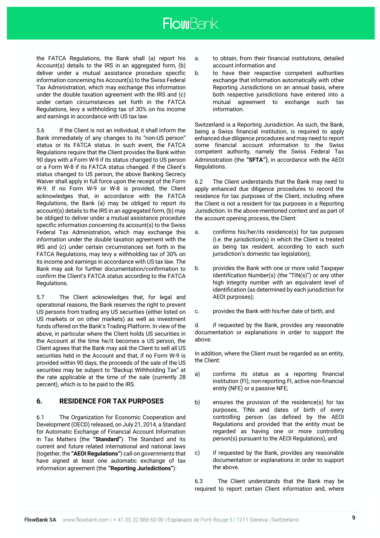the FATCA Regulations, the Bank shall (a) report his Account(s) details to the IRS in an aggregated form, (b) deliver under a mutual assistance procedure specific information concerning his Account(s) to the Swiss Federal Tax Administration, which may exchange this information under the double taxation agreement with the IRS and (c) under certain circumstances set forth in the FATCA Regulations, levy a withholding tax of 30% on his income and earnings in accordance with US tax law.

5.6 If the Client is not an individual, it shall inform the Bank immediately of any changes to its "non-US person" status or its FATCA status. In such event, the FATCA Regulations require that the Client provides the Bank within 90 days with a Form W-9 if its status changed to US person or a Form W-8 if its FATCA status changed. If the Client's status changed to US person, the above Banking Secrecy Waiver shall apply in full force upon the receipt of the Form W-9. If no Form W-9 or W-8 is provided, the Client acknowledges that, in accordance with the FATCA Regulations, the Bank (a) may be obliged to report its account(s) details to the IRS in an aggregated form, (b) may be obliged to deliver under a mutual assistance procedure specific information concerning its account(s) to the Swiss Federal Tax Administration, which may exchange this information under the double taxation agreement with the IRS and (c) under certain circumstances set forth in the FATCA Regulations, may levy a withholding tax of 30% on its income and earnings in accordance with US tax law. The Bank may ask for further documentation/confirmation to confirm the Client's FATCA status according to the FATCA Regulations.

5.7 The Client acknowledges that, for legal and operational reasons, the Bank reserves the right to prevent US persons from trading any US securities (either listed on US markets or on other markets) as well as investment funds offered on the Bank's Trading Platform. In view of the above, in particular where the Client holds US securities in the Account at the time he/it becomes a US person, the Client agrees that the Bank may ask the Client to sell all US securities held in the Account and that, if no Form W-9 is provided within 90 days, the proceeds of the sale of the US securities may be subject to "Backup Withholding Tax" at the rate applicable at the time of the sale (currently 28 percent), which is to be paid to the IRS.

# **6. RESIDENCE FOR TAX PURPOSES**

6.1 The Organization for Economic Cooperation and Development (OECD) released, on July 21, 2014, a Standard for Automatic Exchange of Financial Account Information in Tax Matters (the **"Standard"**). The Standard and its current and future related international and national laws (together, the **"AEOI Regulations"**) call on governments that have signed at least one automatic exchange of tax information agreement (the **"Reporting Jurisdictions"**):

- a. to obtain, from their financial institutions, detailed account information and
- b. to have their respective competent authorities exchange that information automatically with other Reporting Jurisdictions on an annual basis, where both respective jurisdictions have entered into a mutual agreement to exchange such tax information.

Switzerland is a Reporting Jurisdiction. As such, the Bank, being a Swiss financial institution, is required to apply enhanced due diligence procedures and may need to report some financial account information to the Swiss competent authority, namely the Swiss Federal Tax Administration (the **"SFTA"**), in accordance with the AEOI Regulations.

6.2 The Client understands that the Bank may need to apply enhanced due diligence procedures to record the residence for tax purposes of the Client, including where the Client is not a resident for tax purposes in a Reporting Jurisdiction. In the above-mentioned context and as part of the account opening process, the Client:

- a. confirms his/her/its residence(s) for tax purposes (i.e. the jurisdiction(s) in which the Client is treated as being tax resident, according to each such jurisdiction's domestic tax legislation);
- b. provides the Bank with one or more valid Taxpayer Identification Number(s) (the "TIN(s)") or any other high integrity number with an equivalent level of identification (as determined by each jurisdiction for AEOI purposes);
- c. provides the Bank with his/her date of birth, and

d. if requested by the Bank, provides any reasonable documentation or explanations in order to support the above.

In addition, where the Client must be regarded as an entity, the Client:

- a) confirms its status as a reporting financial institution (FI), non-reporting FI, active non-financial entity (NFE) or a passive NFE;
- b) ensures the provision of the residence(s) for tax purposes, TINs and dates of birth of every controlling person (as defined by the AEOI Regulations and provided that the entity must be regarded as having one or more controlling person(s) pursuant to the AEOI Regulations), and
- c) if requested by the Bank, provides any reasonable documentation or explanations in order to support the above.

6.3 The Client understands that the Bank may be required to report certain Client information and, where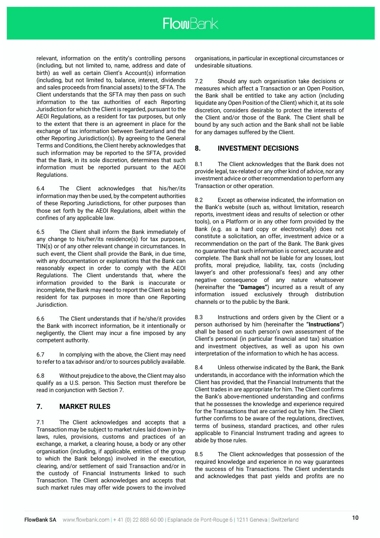relevant, information on the entity's controlling persons (including, but not limited to, name, address and date of birth) as well as certain Client's Account(s) information (including, but not limited to, balance, interest, dividends and sales proceeds from financial assets) to the SFTA. The Client understands that the SFTA may then pass on such information to the tax authorities of each Reporting Jurisdiction for which the Client is regarded, pursuant to the AEOI Regulations, as a resident for tax purposes, but only to the extent that there is an agreement in place for the exchange of tax information between Switzerland and the other Reporting Jurisdiction(s). By agreeing to the General Terms and Conditions, the Client hereby acknowledges that such information may be reported to the SFTA, provided that the Bank, in its sole discretion, determines that such information must be reported pursuant to the AEOI Regulations.

6.4 The Client acknowledges that his/her/its information may then be used, by the competent authorities of these Reporting Jurisdictions, for other purposes than those set forth by the AEOI Regulations, albeit within the confines of any applicable law.

6.5 The Client shall inform the Bank immediately of any change to his/her/its residence(s) for tax purposes, TIN(s) or of any other relevant change in circumstances. In such event, the Client shall provide the Bank, in due time, with any documentation or explanations that the Bank can reasonably expect in order to comply with the AEOI Regulations. The Client understands that, where the information provided to the Bank is inaccurate or incomplete, the Bank may need to report the Client as being resident for tax purposes in more than one Reporting Jurisdiction.

6.6 The Client understands that if he/she/it provides the Bank with incorrect information, be it intentionally or negligently, the Client may incur a fine imposed by any competent authority.

6.7 In complying with the above, the Client may need to refer to a tax advisor and/or to sources publicly available.

6.8 Without prejudice to the above, the Client may also qualify as a U.S. person. This Section must therefore be read in conjunction with Section 7.

# **7. MARKET RULES**

7.1 The Client acknowledges and accepts that a Transaction may be subject to market rules laid down in bylaws, rules, provisions, customs and practices of an exchange, a market, a clearing house, a body or any other organisation (including, if applicable, entities of the group to which the Bank belongs) involved in the execution, clearing, and/or settlement of said Transaction and/or in the custody of Financial Instruments linked to such Transaction. The Client acknowledges and accepts that such market rules may offer wide powers to the involved

organisations, in particular in exceptional circumstances or undesirable situations.

7.2 Should any such organisation take decisions or measures which affect a Transaction or an Open Position, the Bank shall be entitled to take any action (including liquidate any Open Position of the Client) which it, at its sole discretion, considers desirable to protect the interests of the Client and/or those of the Bank. The Client shall be bound by any such action and the Bank shall not be liable for any damages suffered by the Client.

# **8. INVESTMENT DECISIONS**

8.1 The Client acknowledges that the Bank does not provide legal, tax-related or any other kind of advice, nor any investment advice or other recommendation to perform any Transaction or other operation.

8.2 Except as otherwise indicated, the information on the Bank's website (such as, without limitation, research reports, investment ideas and results of selection or other tools), on a Platform or in any other form provided by the Bank (e.g. as a hard copy or electronically) does not constitute a solicitation, an offer, investment advice or a recommendation on the part of the Bank. The Bank gives no guarantee that such information is correct, accurate and complete. The Bank shall not be liable for any losses, lost profits, moral prejudice, liability, tax, costs (including lawyer's and other professional's fees) and any other negative consequence of any nature whatsoever (hereinafter the **"Damages"**) incurred as a result of any information issued exclusively through distribution channels or to the public by the Bank.

8.3 Instructions and orders given by the Client or a person authorised by him (hereinafter the **"Instructions"**) shall be based on such person's own assessment of the Client's personal (in particular financial and tax) situation and investment objectives, as well as upon his own interpretation of the information to which he has access.

8.4 Unless otherwise indicated by the Bank, the Bank understands, in accordance with the information which the Client has provided, that the Financial Instruments that the Client trades in are appropriate for him. The Client confirms the Bank's above-mentioned understanding and confirms that he possesses the knowledge and experience required for the Transactions that are carried out by him. The Client further confirms to be aware of the regulations, directives, terms of business, standard practices, and other rules applicable to Financial Instrument trading and agrees to abide by those rules.

8.5 The Client acknowledges that possession of the required knowledge and experience in no way guarantees the success of his Transactions. The Client understands and acknowledges that past yields and profits are no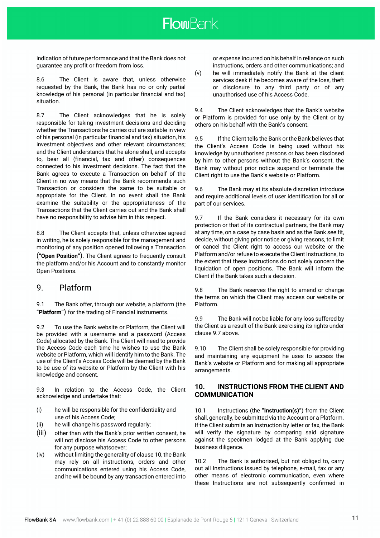indication of future performance and that the Bank does not guarantee any profit or freedom from loss.

8.6 The Client is aware that, unless otherwise requested by the Bank, the Bank has no or only partial knowledge of his personal (in particular financial and tax) situation.

8.7 The Client acknowledges that he is solely responsible for taking investment decisions and deciding whether the Transactions he carries out are suitable in view of his personal (in particular financial and tax) situation, his investment objectives and other relevant circumstances; and the Client understands that he alone shall, and accepts to, bear all (financial, tax and other) consequences connected to his investment decisions. The fact that the Bank agrees to execute a Transaction on behalf of the Client in no way means that the Bank recommends such Transaction or considers the same to be suitable or appropriate for the Client. In no event shall the Bank examine the suitability or the appropriateness of the Transactions that the Client carries out and the Bank shall have no responsibility to advise him in this respect.

8.8 The Client accepts that, unless otherwise agreed in writing, he is solely responsible for the management and monitoring of any position opened following a Transaction (**"Open Position"**). The Client agrees to frequently consult the platform and/or his Account and to constantly monitor Open Positions.

# 9. Platform

9.1 The Bank offer, through our website, a platform (the **"Platform"**) for the trading of Financial instruments.

9.2 To use the Bank website or Platform, the Client will be provided with a username and a password (Access Code) allocated by the Bank. The Client will need to provide the Access Code each time he wishes to use the Bank website or Platform, which will identify him to the Bank. The use of the Client's Access Code will be deemed by the Bank to be use of its website or Platform by the Client with his knowledge and consent.

9.3 In relation to the Access Code, the Client acknowledge and undertake that:

- (i) he will be responsible for the confidentiality and use of his Access Code;
- (ii) he will change his password regularly;
- (iii) other than with the Bank's prior written consent, he will not disclose his Access Code to other persons for any purpose whatsoever;
- (iv) without limiting the generality of clause 10, the Bank may rely on all instructions, orders and other communications entered using his Access Code, and he will be bound by any transaction entered into

or expense incurred on his behalf in reliance on such instructions, orders and other communications; and (v) he will immediately notify the Bank at the client

services desk if he becomes aware of the loss, theft or disclosure to any third party or of any unauthorised use of his Access Code.

9.4 The Client acknowledges that the Bank's website or Platform is provided for use only by the Client or by others on his behalf with the Bank's consent.

9.5 If the Client tells the Bank or the Bank believes that the Client's Access Code is being used without his knowledge by unauthorised persons or has been disclosed by him to other persons without the Bank's consent, the Bank may without prior notice suspend or terminate the Client right to use the Bank's website or Platform.

9.6 The Bank may at its absolute discretion introduce and require additional levels of user identification for all or part of our services.

9.7 If the Bank considers it necessary for its own protection or that of its contractual partners, the Bank may at any time, on a case by case basis and as the Bank see fit, decide, without giving prior notice or giving reasons, to limit or cancel the Client right to access our website or the Platform and/or refuse to execute the Client Instructions, to the extent that these Instructions do not solely concern the liquidation of open positions. The Bank will inform the Client if the Bank takes such a decision.

9.8 The Bank reserves the right to amend or change the terms on which the Client may access our website or Platform.

9.9 The Bank will not be liable for any loss suffered by the Client as a result of the Bank exercising its rights under clause 9.7 above.

9.10 The Client shall be solely responsible for providing and maintaining any equipment he uses to access the Bank's website or Platform and for making all appropriate arrangements.

# **10. INSTRUCTIONS FROM THE CLIENT AND COMMUNICATION**

10.1 Instructions (the **"Instruction(s)"**) from the Client shall, generally, be submitted via the Account or a Platform. If the Client submits an Instruction by letter or fax, the Bank will verify the signature by comparing said signature against the specimen lodged at the Bank applying due business diligence.

10.2 The Bank is authorised, but not obliged to, carry out all Instructions issued by telephone, e-mail, fax or any other means of electronic communication, even where these Instructions are not subsequently confirmed in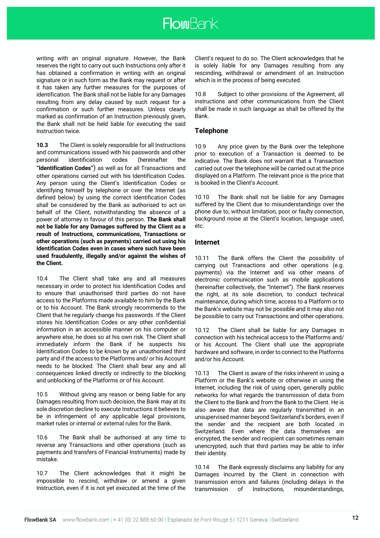writing with an original signature. However, the Bank reserves the right to carry out such Instructions only after it has obtained a confirmation in writing with an original signature or in such form as the Bank may request or after it has taken any further measures for the purposes of identification. The Bank shall not be liable for any Damages resulting from any delay caused by such request for a confirmation or such further measures. Unless clearly marked as confirmation of an Instruction previously given, the Bank shall not be held liable for executing the said Instruction twice.

**10.3** The Client is solely responsible for all Instructions and communications issued with his passwords and other personal identification codes (hereinafter the **"Identification Codes"**) as well as for all Transactions and other operations carried out with his Identification Codes. Any person using the Client's Identification Codes or identifying himself by telephone or over the Internet (as defined below) by using the correct Identification Codes shall be considered by the Bank as authorised to act on behalf of the Client, notwithstanding the absence of a power of attorney in favour of this person. **The Bank shall not be liable for any Damages suffered by the Client as a result of Instructions, communications, Transactions or other operations (such as payments) carried out using his Identification Codes even in cases where such have been used fraudulently, illegally and/or against the wishes of the Client.**

10.4 The Client shall take any and all measures necessary in order to protect his Identification Codes and to ensure that unauthorised third parties do not have access to the Platforms made available to him by the Bank or to his Account. The Bank strongly recommends to the Client that he regularly change his passwords. If the Client stores his Identification Codes or any other confidential information in an accessible manner on his computer or anywhere else, he does so at his own risk. The Client shall immediately inform the Bank if he suspects his Identification Codes to be known by an unauthorised third party and if the access to the Platforms and/ or his Account needs to be blocked. The Client shall bear any and all consequences linked directly or indirectly to the blocking and unblocking of the Platforms or of his Account.

10.5 Without giving any reason or being liable for any Damages resulting from such decision, the Bank may at its sole discretion decline to execute Instructions it believes to be in infringement of any applicable legal provisions, market rules or internal or external rules for the Bank.

10.6 The Bank shall be authorised at any time to reverse any Transactions and other operations (such as payments and transfers of Financial Instruments) made by mistake.

10.7 The Client acknowledges that it might be impossible to rescind, withdraw or amend a given Instruction, even if it is not yet executed at the time of the

Client's request to do so. The Client acknowledges that he is solely liable for any Damages resulting from any rescinding, withdrawal or amendment of an Instruction which is in the process of being executed.

10.8 Subject to other provisions of the Agreement, all instructions and other communications from the Client shall be made in such language as shall be offered by the Bank.

# **Telephone**

10.9 Any price given by the Bank over the telephone prior to execution of a Transaction is deemed to be indicative. The Bank does not warrant that a Transaction carried out over the telephone will be carried out at the price displayed on a Platform. The relevant price is the price that is booked in the Client's Account.

10.10 The Bank shall not be liable for any Damages suffered by the Client due to misunderstandings over the phone due to, without limitation, poor or faulty connection, background noise at the Client's location, language used, etc.

### **Internet**

10.11 The Bank offers the Client the possibility of carrying out Transactions and other operations (e.g. payments) via the Internet and via other means of electronic communication such as mobile applications (hereinafter collectively, the "Internet"). The Bank reserves the right, at its sole discretion, to conduct technical maintenance, during which time, access to a Platform or to the Bank's website may not be possible and it may also not be possible to carry out Transactions and other operations.

10.12 The Client shall be liable for any Damages in connection with his technical access to the Platforms and/ or his Account. The Client shall use the appropriate hardware and software, in order to connect to the Platforms and/or his Account.

10.13 The Client is aware of the risks inherent in using a Platform or the Bank's website or otherwise in using the Internet, including the risk of using open, generally public networks for what regards the transmission of data from the Client to the Bank and from the Bank to the Client. He is also aware that data are regularly transmitted in an unsupervised manner beyond Switzerland's borders, even if the sender and the recipient are both located in Switzerland. Even where the data themselves are encrypted, the sender and recipient can sometimes remain unencrypted, such that third parties may be able to infer their identity.

10.14 The Bank expressly disclaims any liability for any Damages incurred by the Client in connection with transmission errors and failures (including delays in the transmission of Instructions, misunderstandings,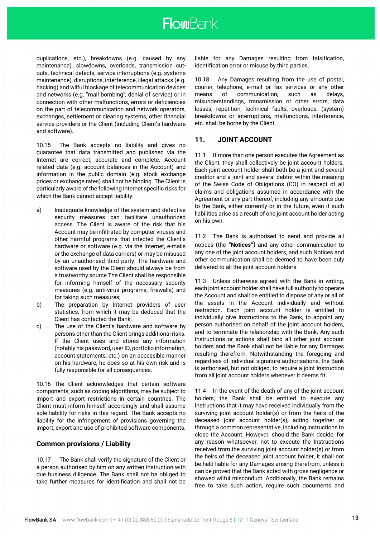duplications, etc.), breakdowns (e.g. caused by any maintenance), slowdowns, overloads, transmission cutouts, technical defects, service interruptions (e.g. systems maintenance), disruptions, interference, illegal attacks (e.g. hacking) and wilful blockage of telecommunication devices and networks (e.g. "mail bombing", denial of service) or in connection with other malfunctions, errors or deficiencies on the part of telecommunication and network operators, exchanges, settlement or clearing systems, other financial service providers or the Client (including Client's hardware and software).

10.15 The Bank accepts no liability and gives no guarantee that data transmitted and published via the Internet are correct, accurate and complete. Account related data (e.g. account balances in the Account) and information in the public domain (e.g. stock exchange prices or exchange rates) shall not be binding. The Client is particularly aware of the following Internet specific risks for which the Bank cannot accept liability:

- a) Inadequate knowledge of the system and defective security measures can facilitate unauthorized access. The Client is aware of the risk that his Account may be infiltrated by computer viruses and other harmful programs that infected the Client's hardware or software (e.g. via the Internet, e-mails or the exchange of data carriers) or may be misused by an unauthorised third party. The hardware and software used by the Client should always be from a trustworthy source The Client shall be responsible for informing himself of the necessary security measures (e.g. anti-virus programs, firewalls) and for taking such measures;
- b) The preparation by Internet providers of user statistics, from which it may be deduced that the Client has contacted the Bank;
- c) The use of the Client's hardware and software by persons other than the Client brings additional risks. If the Client uses and stores any information (notably his password, user ID, portfolio information, account statements, etc.) on an accessible manner on his hardware, he does so at his own risk and is fully responsible for all consequences.

10.16 The Client acknowledges that certain software components, such as coding algorithms, may be subject to import and export restrictions in certain countries. The Client must inform himself accordingly and shall assume sole liability for risks in this regard. The Bank accepts no liability for the infringement of provisions governing the import, export and use of prohibited software components.

# **Common provisions / Liability**

10.17 The Bank shall verify the signature of the Client or a person authorised by him on any written Instruction with due business diligence. The Bank shall not be obliged to take further measures for identification and shall not be

liable for any Damages resulting from falsification, identification error or misuse by third parties.

10.18 Any Damages resulting from the use of postal, courier, telephone, e-mail or fax services or any other means of communication, such as delays, misunderstandings, transmission or other errors, data losses, repetition, technical faults, overloads, (system) breakdowns or interruptions, malfunctions, interference, etc. shall be borne by the Client.

# **11. JOINT ACCOUNT**

11.1 If more than one person executes the Agreement as the Client, they shall collectively be joint account holders. Each joint account holder shall both be a joint and several creditor and a joint and several debtor within the meaning of the Swiss Code of Obligations (CO) in respect of all claims and obligations assumed in accordance with the Agreement or any part thereof, including any amounts due to the Bank, either currently or in the future, even if such liabilities arise as a result of one joint account holder acting on his own.

11.2 The Bank is authorised to send and provide all notices (the **"Notices"**) and any other communication to any one of the joint account holders, and such Notices and other communication shall be deemed to have been duly delivered to all the joint account holders.

11.3 Unless otherwise agreed with the Bank in writing, each joint account holder shall have full authority to operate the Account and shall be entitled to dispose of any or all of the assets in the Account individually and without restriction. Each joint account holder is entitled to individually give Instructions to the Bank, to appoint any person authorised on behalf of the joint account holders, and to terminate the relationship with the Bank. Any such Instructions or actions shall bind all other joint account holders and the Bank shall not be liable for any Damages resulting therefrom. Notwithstanding the foregoing and regardless of individual signature authorisations, the Bank is authorised, but not obliged, to require a joint Instruction from all joint account holders whenever it deems fit.

11.4 In the event of the death of any of the joint account holders, the Bank shall be entitled to execute any Instructions that it may have received individually from the surviving joint account holder(s) or from the heirs of the deceased joint account holder(s), acting together or through a common representative, including instructions to close the Account. However, should the Bank decide, for any reason whatsoever, not to execute the Instructions received from the surviving joint account holder(s) or from the heirs of the deceased joint account holder, it shall not be held liable for any Damages arising therefrom, unless it can be proved that the Bank acted with gross negligence or showed wilful misconduct. Additionally, the Bank remains free to take such action, require such documents and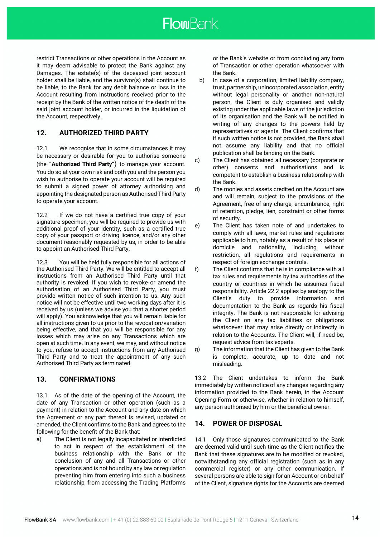restrict Transactions or other operations in the Account as it may deem advisable to protect the Bank against any Damages. The estate(s) of the deceased joint account holder shall be liable, and the survivor(s) shall continue to be liable, to the Bank for any debit balance or loss in the Account resulting from Instructions received prior to the receipt by the Bank of the written notice of the death of the said joint account holder, or incurred in the liquidation of the Account, respectively.

# **12. AUTHORIZED THIRD PARTY**

12.1 We recognise that in some circumstances it may be necessary or desirable for you to authorise someone (the **"Authorized Third Party"**) to manage your account. You do so at your own risk and both you and the person you wish to authorise to operate your account will be required to submit a signed power of attorney authorising and appointing the designated person as Authorised Third Party to operate your account.

12.2 If we do not have a certified true copy of your signature specimen, you will be required to provide us with additional proof of your identity, such as a certified true copy of your passport or driving licence, and/or any other document reasonably requested by us, in order to be able to appoint an Authorised Third Party.

12.3 You will be held fully responsible for all actions of the Authorised Third Party. We will be entitled to accept all instructions from an Authorised Third Party until that authority is revoked. If you wish to revoke or amend the authorisation of an Authorised Third Party, you must provide written notice of such intention to us. Any such notice will not be effective until two working days after it is received by us (unless we advise you that a shorter period will apply). You acknowledge that you will remain liable for all instructions given to us prior to the revocation/variation being effective, and that you will be responsible for any losses which may arise on any Transactions which are open at such time. In any event, we may, and without notice to you, refuse to accept instructions from any Authorised Third Party and to treat the appointment of any such Authorised Third Party as terminated.

# **13. CONFIRMATIONS**

13.1 As of the date of the opening of the Account, the date of any Transaction or other operation (such as a payment) in relation to the Account and any date on which the Agreement or any part thereof is revised, updated or amended, the Client confirms to the Bank and agrees to the following for the benefit of the Bank that:

a) The Client is not legally incapacitated or interdicted to act in respect of the establishment of the business relationship with the Bank or the conclusion of any and all Transactions or other operations and is not bound by any law or regulation preventing him from entering into such a business relationship, from accessing the Trading Platforms or the Bank's website or from concluding any form of Transaction or other operation whatsoever with the Bank.

- b) In case of a corporation, limited liability company, trust, partnership, unincorporated association, entity without legal personality or another non-natural person, the Client is duly organised and validly existing under the applicable laws of the jurisdiction of its organisation and the Bank will be notified in writing of any changes to the powers held by representatives or agents. The Client confirms that if such written notice is not provided, the Bank shall not assume any liability and that no official publication shall be binding on the Bank.
- c) The Client has obtained all necessary (corporate or other) consents and authorisations and is competent to establish a business relationship with the Bank.
- d) The monies and assets credited on the Account are and will remain, subject to the provisions of the Agreement, free of any charge, encumbrance, right of retention, pledge, lien, constraint or other forms of security.
- e) The Client has taken note of and undertakes to comply with all laws, market rules and regulations applicable to him, notably as a result of his place of domicile and nationality, including, without restriction, all regulations and requirements in respect of foreign exchange controls.
- f) The Client confirms that he is in compliance with all tax rules and requirements by tax authorities of the country or countries in which he assumes fiscal responsibility. Article 22.2 applies by analogy to the Client's duty to provide information and documentation to the Bank as regards his fiscal integrity. The Bank is not responsible for advising the Client on any tax liabilities or obligations whatsoever that may arise directly or indirectly in relation to the Accounts. The Client will, if need be, request advice from tax experts.
- g) The information that the Client has given to the Bank is complete, accurate, up to date and not misleading.

13.2 The Client undertakes to inform the Bank immediately by written notice of any changes regarding any information provided to the Bank herein, in the Account Opening Form or otherwise, whether in relation to himself, any person authorised by him or the beneficial owner.

# **14. POWER OF DISPOSAL**

14.1 Only those signatures communicated to the Bank are deemed valid until such time as the Client notifies the Bank that these signatures are to be modified or revoked, notwithstanding any official registration (such as in any commercial register) or any other communication. If several persons are able to sign for an Account or on behalf of the Client, signature rights for the Accounts are deemed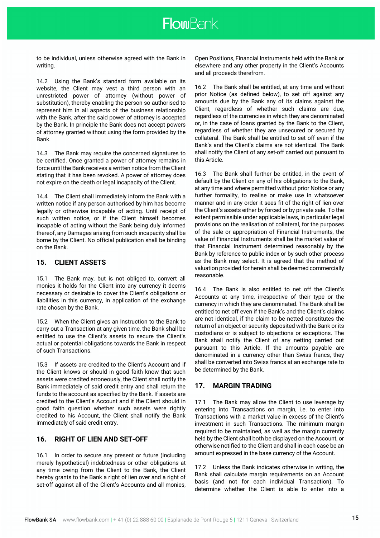to be individual, unless otherwise agreed with the Bank in writing.

14.2 Using the Bank's standard form available on its website, the Client may vest a third person with an unrestricted power of attorney (without power of substitution), thereby enabling the person so authorised to represent him in all aspects of the business relationship with the Bank, after the said power of attorney is accepted by the Bank. In principle the Bank does not accept powers of attorney granted without using the form provided by the Bank.

14.3 The Bank may require the concerned signatures to be certified. Once granted a power of attorney remains in force until the Bank receives a written notice from the Client stating that it has been revoked. A power of attorney does not expire on the death or legal incapacity of the Client.

14.4 The Client shall immediately inform the Bank with a written notice if any person authorised by him has become legally or otherwise incapable of acting. Until receipt of such written notice, or if the Client himself becomes incapable of acting without the Bank being duly informed thereof, any Damages arising from such incapacity shall be borne by the Client. No official publication shall be binding on the Bank.

# **15. CLIENT ASSETS**

15.1 The Bank may, but is not obliged to, convert all monies it holds for the Client into any currency it deems necessary or desirable to cover the Client's obligations or liabilities in this currency, in application of the exchange rate chosen by the Bank.

15.2 When the Client gives an Instruction to the Bank to carry out a Transaction at any given time, the Bank shall be entitled to use the Client's assets to secure the Client's actual or potential obligations towards the Bank in respect of such Transactions.

15.3 If assets are credited to the Client's Account and if the Client knows or should in good faith know that such assets were credited erroneously, the Client shall notify the Bank immediately of said credit entry and shall return the funds to the account as specified by the Bank. If assets are credited to the Client's Account and if the Client should in good faith question whether such assets were rightly credited to his Account, the Client shall notify the Bank immediately of said credit entry.

# **16. RIGHT OF LIEN AND SET-OFF**

16.1 In order to secure any present or future (including merely hypothetical) indebtedness or other obligations at any time owing from the Client to the Bank, the Client hereby grants to the Bank a right of lien over and a right of set-off against all of the Client's Accounts and all monies,

Open Positions, Financial Instruments held with the Bank or elsewhere and any other property in the Client's Accounts and all proceeds therefrom.

16.2 The Bank shall be entitled, at any time and without prior Notice (as defined below), to set off against any amounts due by the Bank any of its claims against the Client, regardless of whether such claims are due, regardless of the currencies in which they are denominated or, in the case of loans granted by the Bank to the Client, regardless of whether they are unsecured or secured by collateral. The Bank shall be entitled to set off even if the Bank's and the Client's claims are not identical. The Bank shall notify the Client of any set-off carried out pursuant to this Article.

16.3 The Bank shall further be entitled, in the event of default by the Client on any of his obligations to the Bank, at any time and where permitted without prior Notice or any further formality, to realise or make use in whatsoever manner and in any order it sees fit of the right of lien over the Client's assets either by forced or by private sale. To the extent permissible under applicable laws, in particular legal provisions on the realisation of collateral, for the purposes of the sale or appropriation of Financial Instruments, the value of Financial Instruments shall be the market value of that Financial Instrument determined reasonably by the Bank by reference to public index or by such other process as the Bank may select. It is agreed that the method of valuation provided for herein shall be deemed commercially reasonable.

16.4 The Bank is also entitled to net off the Client's Accounts at any time, irrespective of their type or the currency in which they are denominated. The Bank shall be entitled to net off even if the Bank's and the Client's claims are not identical, if the claim to be netted constitutes the return of an object or security deposited with the Bank or its custodians or is subject to objections or exceptions. The Bank shall notify the Client of any netting carried out pursuant to this Article. If the amounts payable are denominated in a currency other than Swiss francs, they shall be converted into Swiss francs at an exchange rate to be determined by the Bank.

# **17. MARGIN TRADING**

17.1 The Bank may allow the Client to use leverage by entering into Transactions on margin, i.e. to enter into Transactions with a market value in excess of the Client's investment in such Transactions. The minimum margin required to be maintained, as well as the margin currently held by the Client shall both be displayed on the Account, or otherwise notified to the Client and shall in each case be an amount expressed in the base currency of the Account.

17.2 Unless the Bank indicates otherwise in writing, the Bank shall calculate margin requirements on an Account basis (and not for each individual Transaction). To determine whether the Client is able to enter into a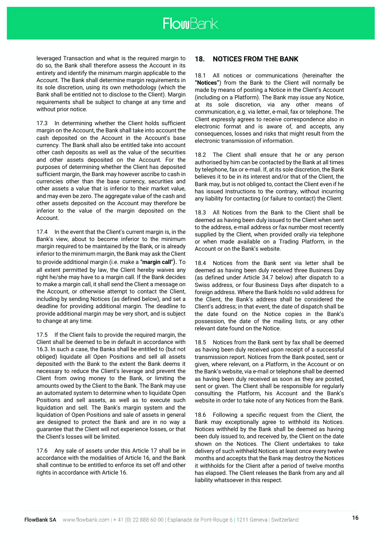leveraged Transaction and what is the required margin to do so, the Bank shall therefore assess the Account in its entirety and identify the minimum margin applicable to the Account. The Bank shall determine margin requirements in its sole discretion, using its own methodology (which the Bank shall be entitled not to disclose to the Client). Margin requirements shall be subject to change at any time and without prior notice.

17.3 In determining whether the Client holds sufficient margin on the Account, the Bank shall take into account the cash deposited on the Account in the Account's base currency. The Bank shall also be entitled take into account other cash deposits as well as the value of the securities and other assets deposited on the Account. For the purposes of determining whether the Client has deposited sufficient margin, the Bank may however ascribe to cash in currencies other than the base currency, securities and other assets a value that is inferior to their market value, and may even be zero. The aggregate value of the cash and other assets deposited on the Account may therefore be inferior to the value of the margin deposited on the Account.

17.4 In the event that the Client's current margin is, in the Bank's view, about to become inferior to the minimum margin required to be maintained by the Bank, or is already inferior to the minimum margin, the Bank may ask the Client to provide additional margin (i.e. make a **"margin call"**). To all extent permitted by law, the Client hereby waives any right he/she may have to a margin call. If the Bank decides to make a margin call, it shall send the Client a message on the Account, or otherwise attempt to contact the Client, including by sending Notices (as defined below), and set a deadline for providing additional margin. The deadline to provide additional margin may be very short, and is subject to change at any time.

17.5 If the Client fails to provide the required margin, the Client shall be deemed to be in default in accordance with 16.3. In such a case, the Banks shall be entitled to (but not obliged) liquidate all Open Positions and sell all assets deposited with the Bank to the extent the Bank deems it necessary to reduce the Client's leverage and prevent the Client from owing money to the Bank, or limiting the amounts owed by the Client to the Bank. The Bank may use an automated system to determine when to liquidate Open Positions and sell assets, as well as to execute such liquidation and sell. The Bank's margin system and the liquidation of Open Positions and sale of assets in general are designed to protect the Bank and are in no way a guarantee that the Client will not experience losses, or that the Client's losses will be limited.

17.6 Any sale of assets under this Article 17 shall be in accordance with the modalities of Article 16, and the Bank shall continue to be entitled to enforce its set off and other rights in accordance with Article 16.

# **18. NOTICES FROM THE BANK**

18.1 All notices or communications (hereinafter the **"Notices"**) from the Bank to the Client will normally be made by means of posting a Notice in the Client's Account (including on a Platform). The Bank may issue any Notice, at its sole discretion, via any other means of communication, e.g. via letter, e-mail, fax or telephone. The Client expressly agrees to receive correspondence also in electronic format and is aware of, and accepts, any consequences, losses and risks that might result from the electronic transmission of information.

18.2 The Client shall ensure that he or any person authorised by him can be contacted by the Bank at all times by telephone, fax or e-mail. If, at its sole discretion, the Bank believes it to be in its interest and/or that of the Client, the Bank may, but is not obliged to, contact the Client even if he has issued Instructions to the contrary, without incurring any liability for contacting (or failure to contact) the Client.

18.3 All Notices from the Bank to the Client shall be deemed as having been duly issued to the Client when sent to the address, e-mail address or fax number most recently supplied by the Client, when provided orally via telephone or when made available on a Trading Platform, in the Account or on the Bank's website.

18.4 Notices from the Bank sent via letter shall be deemed as having been duly received three Business Day (as defined under Article 34.7 below) after dispatch to a Swiss address, or four Business Days after dispatch to a foreign address. Where the Bank holds no valid address for the Client, the Bank's address shall be considered the Client's address; in that event, the date of dispatch shall be the date found on the Notice copies in the Bank's possession, the date of the mailing lists, or any other relevant date found on the Notice.

18.5 Notices from the Bank sent by fax shall be deemed as having been duly received upon receipt of a successful transmission report. Notices from the Bank posted, sent or given, where relevant, on a Platform, in the Account or on the Bank's website, via e-mail or telephone shall be deemed as having been duly received as soon as they are posted, sent or given. The Client shall be responsible for regularly consulting the Platform, his Account and the Bank's website in order to take note of any Notices from the Bank.

18.6 Following a specific request from the Client, the Bank may exceptionally agree to withhold its Notices. Notices withheld by the Bank shall be deemed as having been duly issued to, and received by, the Client on the date shown on the Notices. The Client undertakes to take delivery of such withheld Notices at least once every twelve months and accepts that the Bank may destroy the Notices it withholds for the Client after a period of twelve months has elapsed. The Client releases the Bank from any and all liability whatsoever in this respect.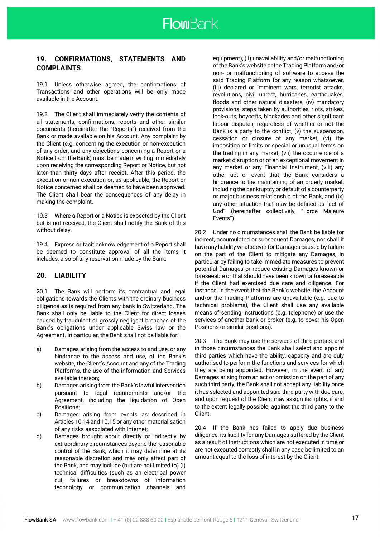

# **19. CONFIRMATIONS, STATEMENTS AND COMPLAINTS**

19.1 Unless otherwise agreed, the confirmations of Transactions and other operations will be only made available in the Account.

19.2 The Client shall immediately verify the contents of all statements, confirmations, reports and other similar documents (hereinafter the "Reports") received from the Bank or made available on his Account. Any complaint by the Client (e.g. concerning the execution or non-execution of any order, and any objections concerning a Report or a Notice from the Bank) must be made in writing immediately upon receiving the corresponding Report or Notice, but not later than thirty days after receipt. After this period, the execution or non-execution or, as applicable, the Report or Notice concerned shall be deemed to have been approved. The Client shall bear the consequences of any delay in making the complaint.

19.3 Where a Report or a Notice is expected by the Client but is not received, the Client shall notify the Bank of this without delay.

19.4 Express or tacit acknowledgement of a Report shall be deemed to constitute approval of all the items it includes, also of any reservation made by the Bank.

# **20. LIABILITY**

20.1 The Bank will perform its contractual and legal obligations towards the Clients with the ordinary business diligence as is required from any bank in Switzerland. The Bank shall only be liable to the Client for direct losses caused by fraudulent or grossly negligent breaches of the Bank's obligations under applicable Swiss law or the Agreement. In particular, the Bank shall not be liable for:

- a) Damages arising from the access to and use, or any hindrance to the access and use, of the Bank's website, the Client's Account and any of the Trading Platforms, the use of the information and Services available thereon;
- b) Damages arising from the Bank's lawful intervention pursuant to legal requirements and/or the Agreement, including the liquidation of Open Positions;
- c) Damages arising from events as described in Articles 10.14 and 10.15 or any other materialisation of any risks associated with Internet;
- d) Damages brought about directly or indirectly by extraordinary circumstances beyond the reasonable control of the Bank, which it may determine at its reasonable discretion and may only affect part of the Bank, and may include (but are not limited to) (i) technical difficulties (such as an electrical power cut, failures or breakdowns of information technology or communication channels and

equipment), (ii) unavailability and/or malfunctioning of the Bank's website or the Trading Platform and/or non- or malfunctioning of software to access the said Trading Platform for any reason whatsoever, (iii) declared or imminent wars, terrorist attacks, revolutions, civil unrest, hurricanes, earthquakes, floods and other natural disasters, (iv) mandatory provisions, steps taken by authorities, riots, strikes, lock-outs, boycotts, blockades and other significant labour disputes, regardless of whether or not the Bank is a party to the conflict, (v) the suspension, cessation or closure of any market, (vi) the imposition of limits or special or unusual terms on the trading in any market, (vii) the occurrence of a market disruption or of an exceptional movement in any market or any Financial Instrument, (viii) any other act or event that the Bank considers a hindrance to the maintaining of an orderly market, including the bankruptcy or default of a counterparty or major business relationship of the Bank, and (ix) any other situation that may be defined as "act of God" (hereinafter collectively, "Force Majeure Events").

20.2 Under no circumstances shall the Bank be liable for indirect, accumulated or subsequent Damages, nor shall it have any liability whatsoever for Damages caused by failure on the part of the Client to mitigate any Damages, in particular by failing to take immediate measures to prevent potential Damages or reduce existing Damages known or foreseeable or that should have been known or foreseeable if the Client had exercised due care and diligence. For instance, in the event that the Bank's website, the Account and/or the Trading Platforms are unavailable (e.g. due to technical problems), the Client shall use any available means of sending Instructions (e.g. telephone) or use the services of another bank or broker (e.g. to cover his Open Positions or similar positions).

20.3 The Bank may use the services of third parties, and in those circumstances the Bank shall select and appoint third parties which have the ability, capacity and are duly authorised to perform the functions and services for which they are being appointed. However, in the event of any Damages arising from an act or omission on the part of any such third party, the Bank shall not accept any liability once it has selected and appointed said third party with due care, and upon request of the Client may assign its rights, if and to the extent legally possible, against the third party to the Client.

20.4 If the Bank has failed to apply due business diligence, its liability for any Damages suffered by the Client as a result of Instructions which are not executed in time or are not executed correctly shall in any case be limited to an amount equal to the loss of interest by the Client.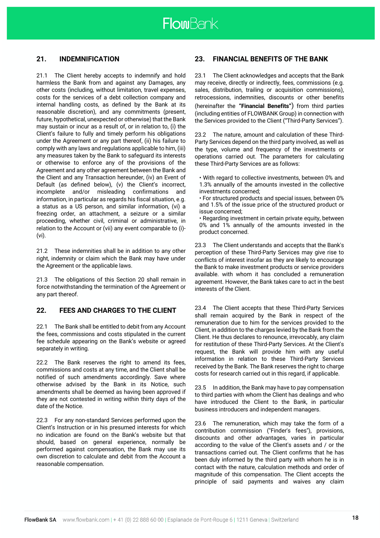# **21. INDEMNIFICATION**

21.1 The Client hereby accepts to indemnify and hold harmless the Bank from and against any Damages, any other costs (including, without limitation, travel expenses, costs for the services of a debt collection company and internal handling costs, as defined by the Bank at its reasonable discretion), and any commitments (present, future, hypothetical, unexpected or otherwise) that the Bank may sustain or incur as a result of, or in relation to, (i) the Client's failure to fully and timely perform his obligations under the Agreement or any part thereof, (ii) his failure to comply with any laws and regulations applicable to him, (iii) any measures taken by the Bank to safeguard its interests or otherwise to enforce any of the provisions of the Agreement and any other agreement between the Bank and the Client and any Transaction hereunder, (iv) an Event of Default (as defined below), (v) the Client's incorrect, incomplete and/or misleading confirmations and information, in particular as regards his fiscal situation, e.g. a status as a US person, and similar information, (vi) a freezing order, an attachment, a seizure or a similar proceeding, whether civil, criminal or administrative, in relation to the Account or (vii) any event comparable to (i)- (vi).

21.2 These indemnities shall be in addition to any other right, indemnity or claim which the Bank may have under the Agreement or the applicable laws.

21.3 The obligations of this Section 20 shall remain in force notwithstanding the termination of the Agreement or any part thereof.

# **22. FEES AND CHARGES TO THE CLIENT**

22.1 The Bank shall be entitled to debit from any Account the fees, commissions and costs stipulated in the current fee schedule appearing on the Bank's website or agreed separately in writing.

22.2 The Bank reserves the right to amend its fees. commissions and costs at any time, and the Client shall be notified of such amendments accordingly. Save where otherwise advised by the Bank in its Notice, such amendments shall be deemed as having been approved if they are not contested in writing within thirty days of the date of the Notice.

22.3 For any non-standard Services performed upon the Client's Instruction or in his presumed interests for which no indication are found on the Bank's website but that should, based on general experience, normally be performed against compensation, the Bank may use its own discretion to calculate and debit from the Account a reasonable compensation.

# **23. FINANCIAL BENEFITS OF THE BANK**

23.1 The Client acknowledges and accepts that the Bank may receive, directly or indirectly, fees, commissions (e.g. sales, distribution, trailing or acquisition commissions), retrocessions, indemnities, discounts or other benefits (hereinafter the **"Financial Benefits"**) from third parties (including entities of FLOWBANK Group) in connection with the Services provided to the Client ("Third-Party Services").

23.2 The nature, amount and calculation of these Third-Party Services depend on the third party involved, as well as the type, volume and frequency of the investments or operations carried out. The parameters for calculating these Third-Party Services are as follows:

• With regard to collective investments, between 0% and 1.3% annually of the amounts invested in the collective investments concerned;

• For structured products and special issues, between 0% and 1.5% of the issue price of the structured product or issue concerned;

• Regarding investment in certain private equity, between 0% and 1% annually of the amounts invested in the product concerned.

23.3 The Client understands and accepts that the Bank's perception of these Third-Party Services may give rise to conflicts of interest insofar as they are likely to encourage the Bank to make investment products or service providers available. with whom it has concluded a remuneration agreement. However, the Bank takes care to act in the best interests of the Client.

23.4 The Client accepts that these Third-Party Services shall remain acquired by the Bank in respect of the remuneration due to him for the services provided to the Client, in addition to the charges levied by the Bank from the Client. He thus declares to renounce, irrevocably, any claim for restitution of these Third-Party Services. At the Client's request, the Bank will provide him with any useful information in relation to these Third-Party Services received by the Bank. The Bank reserves the right to charge costs for research carried out in this regard, if applicable.

23.5 In addition, the Bank may have to pay compensation to third parties with whom the Client has dealings and who have introduced the Client to the Bank, in particular business introducers and independent managers.

23.6 The remuneration, which may take the form of a contribution commission ("Finder's fees"), provisions, discounts and other advantages, varies in particular according to the value of the Client's assets and / or the transactions carried out. The Client confirms that he has been duly informed by the third party with whom he is in contact with the nature, calculation methods and order of magnitude of this compensation. The Client accepts the principle of said payments and waives any claim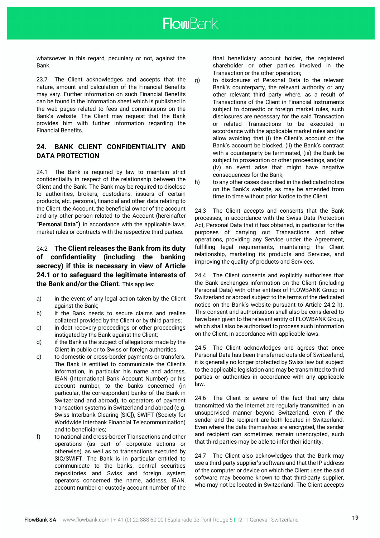whatsoever in this regard, pecuniary or not, against the Bank.

23.7 The Client acknowledges and accepts that the nature, amount and calculation of the Financial Benefits may vary. Further information on such Financial Benefits can be found in the information sheet which is published in the web pages related to fees and commissions on the Bank's website. The Client may request that the Bank provides him with further information regarding the Financial Benefits.

# **24. BANK CLIENT CONFIDENTIALITY AND DATA PROTECTION**

24.1 The Bank is required by law to maintain strict confidentiality in respect of the relationship between the Client and the Bank. The Bank may be required to disclose to authorities, brokers, custodians, issuers of certain products, etc. personal, financial and other data relating to the Client, the Account, the beneficial owner of the account and any other person related to the Account (hereinafter **"Personal Data"**) in accordance with the applicable laws, market rules or contracts with the respective third parties.

# 24.2 **The Client releases the Bank from its duty of confidentiality (including the banking secrecy) if this is necessary in view of Article 24.1 or to safeguard the legitimate interests of the Bank and/or the Client**. This applies:

- a) in the event of any legal action taken by the Client against the Bank;
- b) if the Bank needs to secure claims and realise collateral provided by the Client or by third parties;
- c) in debt recovery proceedings or other proceedings instigated by the Bank against the Client;
- d) if the Bank is the subject of allegations made by the Client in public or to Swiss or foreign authorities.
- e) to domestic or cross-border payments or transfers. The Bank is entitled to communicate the Client's information, in particular his name and address, IBAN (International Bank Account Number) or his account number, to the banks concerned (in particular, the correspondent banks of the Bank in Switzerland and abroad), to operators of payment transaction systems in Switzerland and abroad (e.g. Swiss Interbank Clearing [SIC]), SWIFT (Society for Worldwide Interbank Financial Telecommunication) and to beneficiaries;
- f) to national and cross-border Transactions and other operations (as part of corporate actions or otherwise), as well as to transactions executed by SIC/SWIFT. The Bank is in particular entitled to communicate to the banks, central securities depositories and Swiss and foreign system operators concerned the name, address, IBAN, account number or custody account number of the

final beneficiary account holder, the registered shareholder or other parties involved in the Transaction or the other operation;

- g) to disclosures of Personal Data to the relevant Bank's counterparty, the relevant authority or any other relevant third party where, as a result of Transactions of the Client in Financial Instruments subject to domestic or foreign market rules, such disclosures are necessary for the said Transaction or related Transactions to be executed in accordance with the applicable market rules and/or allow avoiding that (i) the Client's account or the Bank's account be blocked, (ii) the Bank's contract with a counterparty be terminated, (iii) the Bank be subject to prosecution or other proceedings, and/or (iv) an event arise that might have negative consequences for the Bank;
- h) to any other cases described in the dedicated notice on the Bank's website, as may be amended from time to time without prior Notice to the Client.

24.3 The Client accepts and consents that the Bank processes, in accordance with the Swiss Data Protection Act, Personal Data that it has obtained, in particular for the purposes of carrying out Transactions and other operations, providing any Service under the Agreement, fulfilling legal requirements, maintaining the Client relationship, marketing its products and Services, and improving the quality of products and Services.

24.4 The Client consents and explicitly authorises that the Bank exchanges information on the Client (including Personal Data) with other entities of FLOWBANK Group in Switzerland or abroad subject to the terms of the dedicated notice on the Bank's website pursuant to Article 24.2 h). This consent and authorisation shall also be considered to have been given to the relevant entity of FLOWBANK Group, which shall also be authorised to process such information on the Client, in accordance with applicable laws.

24.5 The Client acknowledges and agrees that once Personal Data has been transferred outside of Switzerland, it is generally no longer protected by Swiss law but subject to the applicable legislation and may be transmitted to third parties or authorities in accordance with any applicable law.

24.6 The Client is aware of the fact that any data transmitted via the Internet are regularly transmitted in an unsupervised manner beyond Switzerland, even if the sender and the recipient are both located in Switzerland. Even where the data themselves are encrypted, the sender and recipient can sometimes remain unencrypted, such that third parties may be able to infer their identity.

24.7 The Client also acknowledges that the Bank may use a third-party supplier's software and that the IP address of the computer or device on which the Client uses the said software may become known to that third-party supplier, who may not be located in Switzerland. The Client accepts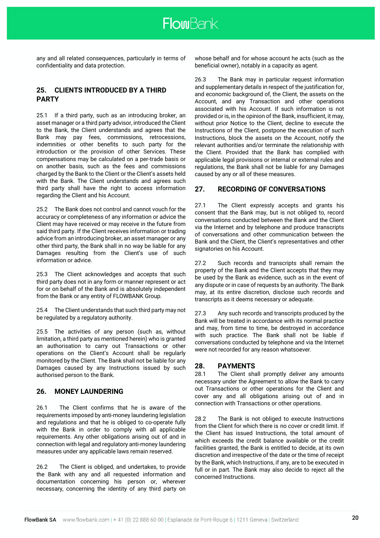any and all related consequences, particularly in terms of confidentiality and data protection.

# **25. CLIENTS INTRODUCED BY A THIRD PARTY**

25.1 If a third party, such as an introducing broker, an asset manager or a third party advisor, introduced the Client to the Bank, the Client understands and agrees that the Bank may pay fees, commissions, retrocessions, indemnities or other benefits to such party for the introduction or the provision of other Services. These compensations may be calculated on a per-trade basis or on another basis, such as the fees and commissions charged by the Bank to the Client or the Client's assets held with the Bank. The Client understands and agrees such third party shall have the right to access information regarding the Client and his Account.

25.2 The Bank does not control and cannot vouch for the accuracy or completeness of any information or advice the Client may have received or may receive in the future from said third party. If the Client receives information or trading advice from an introducing broker, an asset manager or any other third party, the Bank shall in no way be liable for any Damages resulting from the Client's use of such information or advice.

25.3 The Client acknowledges and accepts that such third party does not in any form or manner represent or act for or on behalf of the Bank and is absolutely independent from the Bank or any entity of FLOWBANK Group.

25.4 The Client understands that such third party may not be regulated by a regulatory authority.

25.5 The activities of any person (such as, without limitation, a third party as mentioned herein) who is granted an authorisation to carry out Transactions or other operations on the Client's Account shall be regularly monitored by the Client. The Bank shall not be liable for any Damages caused by any Instructions issued by such authorised person to the Bank.

# **26. MONEY LAUNDERING**

26.1 The Client confirms that he is aware of the requirements imposed by anti-money laundering legislation and regulations and that he is obliged to co-operate fully with the Bank in order to comply with all applicable requirements. Any other obligations arising out of and in connection with legal and regulatory anti-money laundering measures under any applicable laws remain reserved.

26.2 The Client is obliged, and undertakes, to provide the Bank with any and all requested information and documentation concerning his person or, wherever necessary, concerning the identity of any third party on

whose behalf and for whose account he acts (such as the beneficial owner), notably in a capacity as agent.

26.3 The Bank may in particular request information and supplementary details in respect of the justification for, and economic background of, the Client, the assets on the Account, and any Transaction and other operations associated with his Account. If such information is not provided or is, in the opinion of the Bank, insufficient, it may, without prior Notice to the Client, decline to execute the Instructions of the Client, postpone the execution of such Instructions, block the assets on the Account, notify the relevant authorities and/or terminate the relationship with the Client. Provided that the Bank has complied with applicable legal provisions or internal or external rules and regulations, the Bank shall not be liable for any Damages caused by any or all of these measures.

# **27. RECORDING OF CONVERSATIONS**

27.1 The Client expressly accepts and grants his consent that the Bank may, but is not obliged to, record conversations conducted between the Bank and the Client via the Internet and by telephone and produce transcripts of conversations and other communication between the Bank and the Client, the Client's representatives and other signatories on his Account.

27.2 Such records and transcripts shall remain the property of the Bank and the Client accepts that they may be used by the Bank as evidence, such as in the event of any dispute or in case of requests by an authority. The Bank may, at its entire discretion, disclose such records and transcripts as it deems necessary or adequate.

27.3 Any such records and transcripts produced by the Bank will be treated in accordance with its normal practice and may, from time to time, be destroyed in accordance with such practice. The Bank shall not be liable if conversations conducted by telephone and via the Internet were not recorded for any reason whatsoever.

# **28. PAYMENTS**

28.1 The Client shall promptly deliver any amounts necessary under the Agreement to allow the Bank to carry out Transactions or other operations for the Client and cover any and all obligations arising out of and in connection with Transactions or other operations.

28.2 The Bank is not obliged to execute Instructions from the Client for which there is no cover or credit limit. If the Client has issued Instructions, the total amount of which exceeds the credit balance available or the credit facilities granted, the Bank is entitled to decide, at its own discretion and irrespective of the date or the time of receipt by the Bank, which Instructions, if any, are to be executed in full or in part. The Bank may also decide to reject all the concerned Instructions.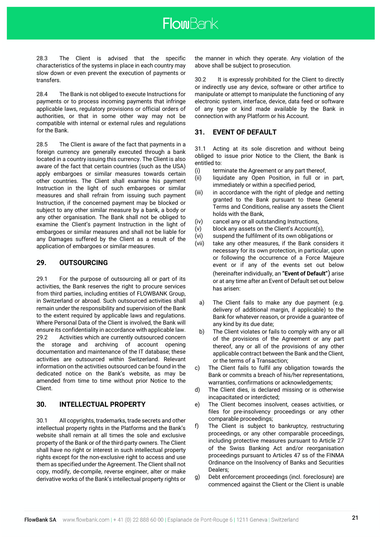28.3 The Client is advised that the specific characteristics of the systems in place in each country may slow down or even prevent the execution of payments or transfers.

28.4 The Bank is not obliged to execute Instructions for payments or to process incoming payments that infringe applicable laws, regulatory provisions or official orders of authorities, or that in some other way may not be compatible with internal or external rules and regulations for the Bank.

28.5 The Client is aware of the fact that payments in a foreign currency are generally executed through a bank located in a country issuing this currency. The Client is also aware of the fact that certain countries (such as the USA) apply embargoes or similar measures towards certain other countries. The Client shall examine his payment Instruction in the light of such embargoes or similar measures and shall refrain from issuing such payment Instruction, if the concerned payment may be blocked or subject to any other similar measure by a bank, a body or any other organisation. The Bank shall not be obliged to examine the Client's payment Instruction in the light of embargoes or similar measures and shall not be liable for any Damages suffered by the Client as a result of the application of embargoes or similar measures.

# **29. OUTSOURCING**

29.1 For the purpose of outsourcing all or part of its activities, the Bank reserves the right to procure services from third parties, including entities of FLOWBANK Group, in Switzerland or abroad. Such outsourced activities shall remain under the responsibility and supervision of the Bank to the extent required by applicable laws and regulations. Where Personal Data of the Client is involved, the Bank will ensure its confidentiality in accordance with applicable law. 29.2 Activities which are currently outsourced concern the storage and archiving of account opening documentation and maintenance of the IT database; these activities are outsourced within Switzerland. Relevant information on the activities outsourced can be found in the dedicated notice on the Bank's website, as may be amended from time to time without prior Notice to the Client.

# **30. INTELLECTUAL PROPERTY**

30.1 All copyrights, trademarks, trade secrets and other intellectual property rights in the Platforms and the Bank's website shall remain at all times the sole and exclusive property of the Bank or of the third-party owners. The Client shall have no right or interest in such intellectual property rights except for the non-exclusive right to access and use them as specified under the Agreement. The Client shall not copy, modify, de-compile, reverse engineer, alter or make derivative works of the Bank's intellectual property rights or the manner in which they operate. Any violation of the above shall be subject to prosecution.

30.2 It is expressly prohibited for the Client to directly or indirectly use any device, software or other artifice to manipulate or attempt to manipulate the functioning of any electronic system, interface, device, data feed or software of any type or kind made available by the Bank in connection with any Platform or his Account.

# **31. EVENT OF DEFAULT**

31.1 Acting at its sole discretion and without being obliged to issue prior Notice to the Client, the Bank is entitled to:

- (i) terminate the Agreement or any part thereof,
- (ii) liquidate any Open Position, in full or in part, immediately or within a specified period,
- (iii) in accordance with the right of pledge and netting granted to the Bank pursuant to these General Terms and Conditions, realise any assets the Client holds with the Bank,
- (iv) cancel any or all outstanding Instructions,
- (v) block any assets on the Client's Account(s),
- (vi) suspend the fulfilment of its own obligations or
- (vii) take any other measures, if the Bank considers it necessary for its own protection, in particular, upon or following the occurrence of a Force Majeure event or if any of the events set out below (hereinafter individually, an **"Event of Default"**) arise or at any time after an Event of Default set out below has arisen:
- a) The Client fails to make any due payment (e.g. delivery of additional margin, if applicable) to the Bank for whatever reason, or provide a guarantee of any kind by its due date;
- b) The Client violates or fails to comply with any or all of the provisions of the Agreement or any part thereof, any or all of the provisions of any other applicable contract between the Bank and the Client, or the terms of a Transaction;
- c) The Client fails to fulfil any obligation towards the Bank or commits a breach of his/her representations, warranties, confirmations or acknowledgements;
- d) The Client dies, is declared missing or is otherwise incapacitated or interdicted;
- e) The Client becomes insolvent, ceases activities, or files for pre-insolvency proceedings or any other comparable proceedings;
- f) The Client is subject to bankruptcy, restructuring proceedings, or any other comparable proceedings, including protective measures pursuant to Article 27 of the Swiss Banking Act and/or reorganisation proceedings pursuant to Articles 47 ss of the FINMA Ordinance on the Insolvency of Banks and Securities Dealers;
- g) Debt enforcement proceedings (incl. foreclosure) are commenced against the Client or the Client is unable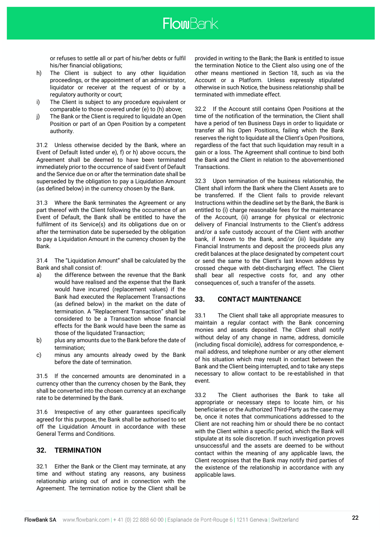or refuses to settle all or part of his/her debts or fulfil his/her financial obligations;

- h) The Client is subject to any other liquidation proceedings, or the appointment of an administrator, liquidator or receiver at the request of or by a regulatory authority or court;
- i) The Client is subject to any procedure equivalent or comparable to those covered under (e) to (h) above;
- j) The Bank or the Client is required to liquidate an Open Position or part of an Open Position by a competent authority.

31.2 Unless otherwise decided by the Bank, where an Event of Default listed under e), f) or h) above occurs, the Agreement shall be deemed to have been terminated immediately prior to the occurrence of said Event of Default and the Service due on or after the termination date shall be superseded by the obligation to pay a Liquidation Amount (as defined below) in the currency chosen by the Bank.

31.3 Where the Bank terminates the Agreement or any part thereof with the Client following the occurrence of an Event of Default, the Bank shall be entitled to have the fulfilment of its Service(s) and its obligations due on or after the termination date be superseded by the obligation to pay a Liquidation Amount in the currency chosen by the Bank.

31.4 The "Liquidation Amount" shall be calculated by the Bank and shall consist of:

- a) the difference between the revenue that the Bank would have realised and the expense that the Bank would have incurred (replacement values) if the Bank had executed the Replacement Transactions (as defined below) in the market on the date of termination. A "Replacement Transaction" shall be considered to be a Transaction whose financial effects for the Bank would have been the same as those of the liquidated Transaction;
- b) plus any amounts due to the Bank before the date of termination;
- c) minus any amounts already owed by the Bank before the date of termination.

31.5 If the concerned amounts are denominated in a currency other than the currency chosen by the Bank, they shall be converted into the chosen currency at an exchange rate to be determined by the Bank.

31.6 Irrespective of any other guarantees specifically agreed for this purpose, the Bank shall be authorised to set off the Liquidation Amount in accordance with these General Terms and Conditions.

# **32. TERMINATION**

32.1 Either the Bank or the Client may terminate, at any time and without stating any reasons, any business relationship arising out of and in connection with the Agreement. The termination notice by the Client shall be

provided in writing to the Bank; the Bank is entitled to issue the termination Notice to the Client also using one of the other means mentioned in Section 18, such as via the Account or a Platform. Unless expressly stipulated otherwise in such Notice, the business relationship shall be terminated with immediate effect.

32.2 If the Account still contains Open Positions at the time of the notification of the termination, the Client shall have a period of ten Business Days in order to liquidate or transfer all his Open Positions, failing which the Bank reserves the right to liquidate all the Client's Open Positions, regardless of the fact that such liquidation may result in a gain or a loss. The Agreement shall continue to bind both the Bank and the Client in relation to the abovementioned Transactions.

32.3 Upon termination of the business relationship, the Client shall inform the Bank where the Client Assets are to be transferred. If the Client fails to provide relevant Instructions within the deadline set by the Bank, the Bank is entitled to (i) charge reasonable fees for the maintenance of the Account, (ii) arrange for physical or electronic delivery of Financial Instruments to the Client's address and/or a safe custody account of the Client with another bank, if known to the Bank, and/or (iii) liquidate any Financial Instruments and deposit the proceeds plus any credit balances at the place designated by competent court or send the same to the Client's last known address by crossed cheque with debt-discharging effect. The Client shall bear all respective costs for, and any other consequences of, such a transfer of the assets.

### **33. CONTACT MAINTENANCE**

33.1 The Client shall take all appropriate measures to maintain a regular contact with the Bank concerning monies and assets deposited. The Client shall notify without delay of any change in name, address, domicile (including fiscal domicile), address for correspondence, email address, and telephone number or any other element of his situation which may result in contact between the Bank and the Client being interrupted, and to take any steps necessary to allow contact to be re-established in that event.

33.2 The Client authorises the Bank to take all appropriate or necessary steps to locate him, or his beneficiaries or the Authorized Third-Party as the case may be, once it notes that communications addressed to the Client are not reaching him or should there be no contact with the Client within a specific period, which the Bank will stipulate at its sole discretion. If such investigation proves unsuccessful and the assets are deemed to be without contact within the meaning of any applicable laws, the Client recognises that the Bank may notify third parties of the existence of the relationship in accordance with any applicable laws.